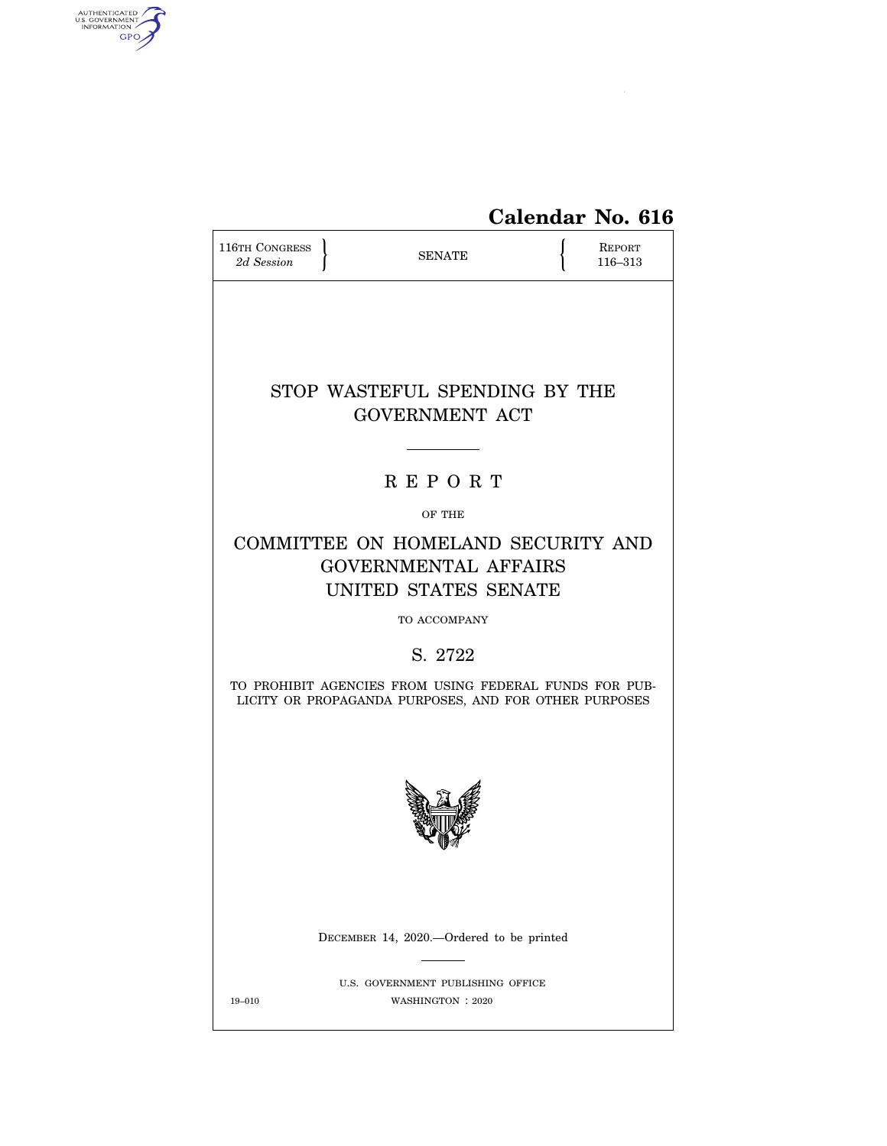

# **Calendar No. 616**

| <b>116TH CONGRESS</b><br>2d Session | <b>SENATE</b>                                                                                                   | <b>REPORT</b><br>116-313 |
|-------------------------------------|-----------------------------------------------------------------------------------------------------------------|--------------------------|
|                                     | STOP WASTEFUL SPENDING BY THE<br><b>GOVERNMENT ACT</b>                                                          |                          |
|                                     | <b>REPORT</b>                                                                                                   |                          |
|                                     | OF THE                                                                                                          |                          |
|                                     | COMMITTEE ON HOMELAND SECURITY AND<br><b>GOVERNMENTAL AFFAIRS</b><br>UNITED STATES SENATE                       |                          |
|                                     | TO ACCOMPANY                                                                                                    |                          |
|                                     | S. 2722                                                                                                         |                          |
|                                     | TO PROHIBIT AGENCIES FROM USING FEDERAL FUNDS FOR PUB-<br>LICITY OR PROPAGANDA PURPOSES, AND FOR OTHER PURPOSES |                          |
|                                     |                                                                                                                 |                          |
|                                     | DECEMBER 14, 2020.—Ordered to be printed                                                                        |                          |
| 19-010                              | U.S. GOVERNMENT PUBLISHING OFFICE<br>WASHINGTON : 2020                                                          |                          |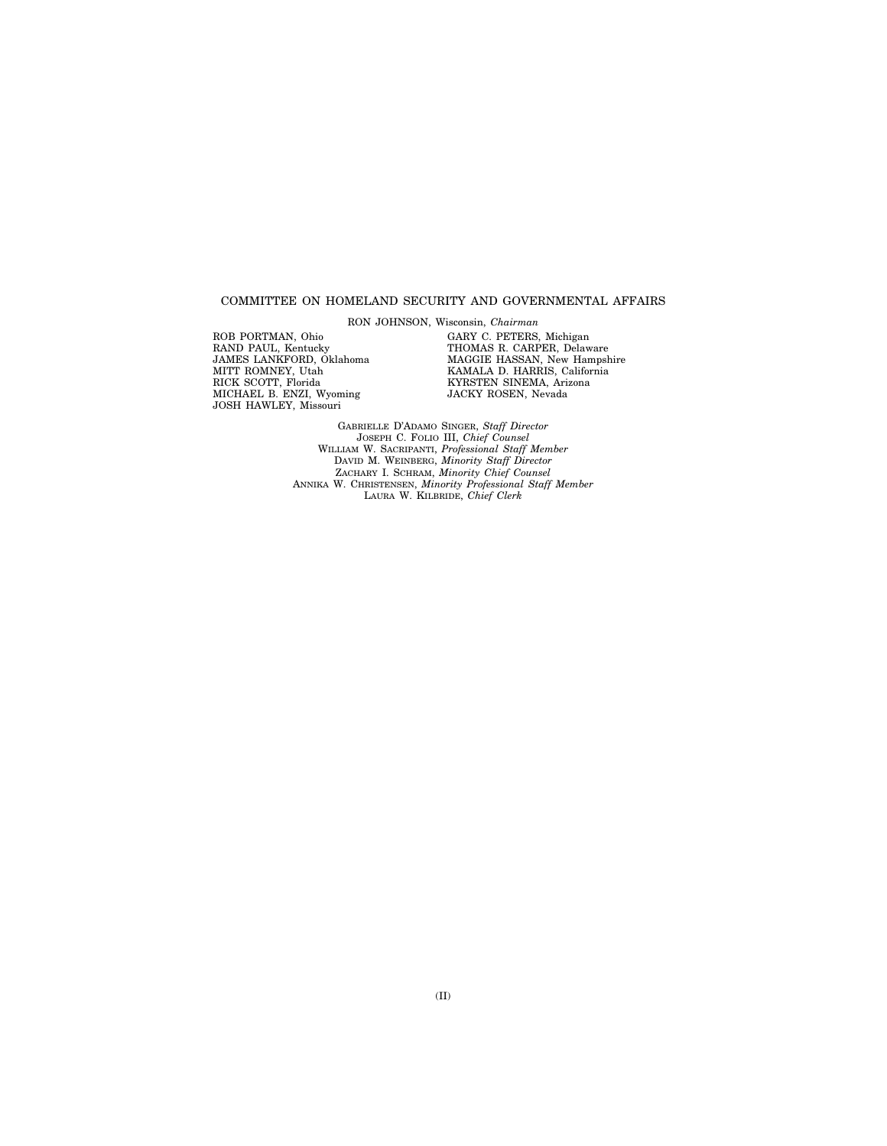### COMMITTEE ON HOMELAND SECURITY AND GOVERNMENTAL AFFAIRS

RON JOHNSON, Wisconsin, *Chairman* 

ROB PORTMAN, Ohio RAND PAUL, Kentucky JAMES LANKFORD, Oklahoma MITT ROMNEY, Utah RICK SCOTT, Florida MICHAEL B. ENZI, Wyoming JOSH HAWLEY, Missouri

GARY C. PETERS, Michigan THOMAS R. CARPER, Delaware MAGGIE HASSAN, New Hampshire KAMALA D. HARRIS, California KYRSTEN SINEMA, Arizona JACKY ROSEN, Nevada

GABRIELLE D'ADAMO SINGER, *Staff Director*  JOSEPH C. FOLIO III, *Chief Counsel*  WILLIAM W. SACRIPANTI, *Professional Staff Member*  DAVID M. WEINBERG, *Minority Staff Director*  ZACHARY I. SCHRAM, *Minority Chief Counsel*  ANNIKA W. CHRISTENSEN, *Minority Professional Staff Member*  LAURA W. KILBRIDE, *Chief Clerk*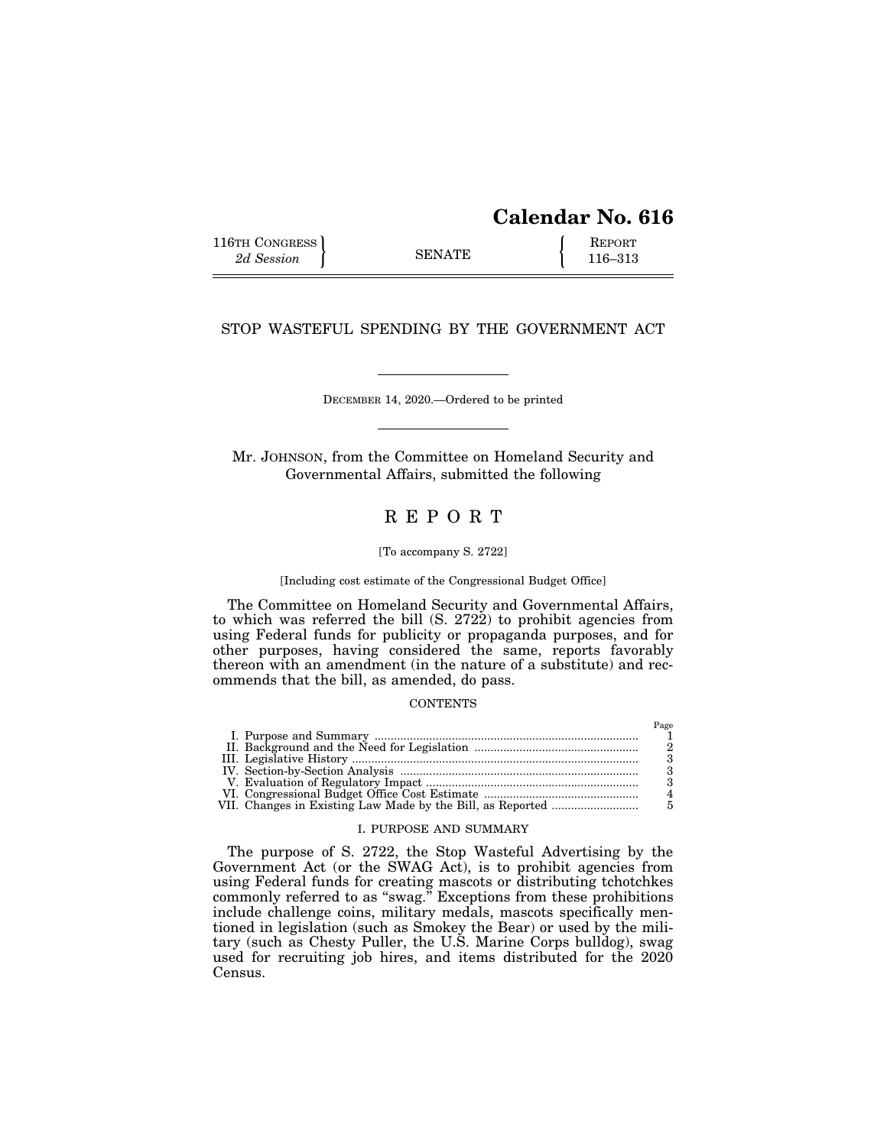# **Calendar No. 616**

 $D_{\alpha\alpha\alpha}$ 

116TH CONGRESS **REPORT** 2d Session **116–313** 

### STOP WASTEFUL SPENDING BY THE GOVERNMENT ACT

DECEMBER 14, 2020.—Ordered to be printed

Mr. JOHNSON, from the Committee on Homeland Security and Governmental Affairs, submitted the following

## R E P O R T

#### [To accompany S. 2722]

[Including cost estimate of the Congressional Budget Office]

The Committee on Homeland Security and Governmental Affairs, to which was referred the bill  $(S. 2722)$  to prohibit agencies from using Federal funds for publicity or propaganda purposes, and for other purposes, having considered the same, reports favorably thereon with an amendment (in the nature of a substitute) and recommends that the bill, as amended, do pass.

#### **CONTENTS**

#### I. PURPOSE AND SUMMARY

The purpose of S. 2722, the Stop Wasteful Advertising by the Government Act (or the SWAG Act), is to prohibit agencies from using Federal funds for creating mascots or distributing tchotchkes commonly referred to as ''swag.'' Exceptions from these prohibitions include challenge coins, military medals, mascots specifically mentioned in legislation (such as Smokey the Bear) or used by the military (such as Chesty Puller, the U.S. Marine Corps bulldog), swag used for recruiting job hires, and items distributed for the 2020 Census.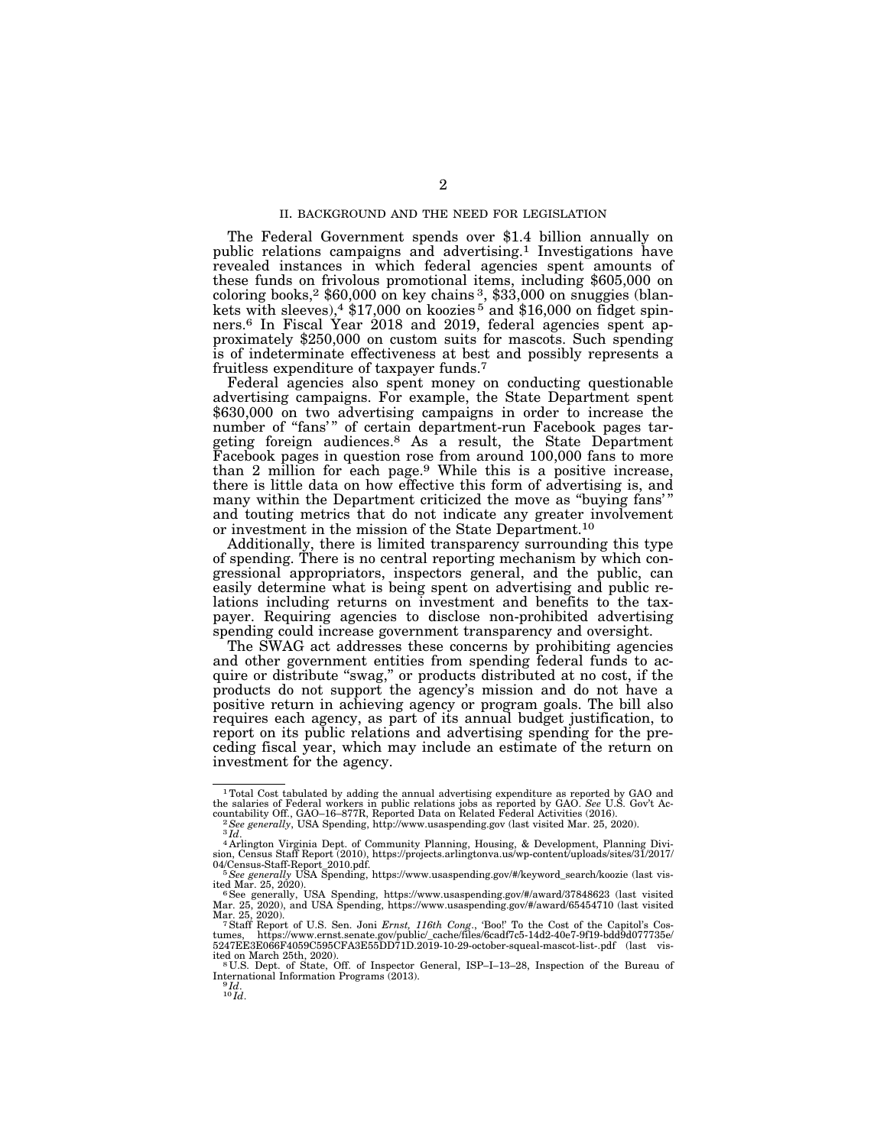#### II. BACKGROUND AND THE NEED FOR LEGISLATION

The Federal Government spends over \$1.4 billion annually on public relations campaigns and advertising.1 Investigations have revealed instances in which federal agencies spent amounts of these funds on frivolous promotional items, including \$605,000 on coloring books,2 \$60,000 on key chains 3, \$33,000 on snuggies (blankets with sleeves),<sup>4</sup> \$17,000 on koozies<sup>5</sup> and \$16,000 on fidget spinners.6 In Fiscal Year 2018 and 2019, federal agencies spent approximately \$250,000 on custom suits for mascots. Such spending is of indeterminate effectiveness at best and possibly represents a fruitless expenditure of taxpayer funds.7

Federal agencies also spent money on conducting questionable advertising campaigns. For example, the State Department spent \$630,000 on two advertising campaigns in order to increase the number of "fans'" of certain department-run Facebook pages targeting foreign audiences.<sup>8</sup> As a result, the State Department Facebook pages in question rose from around 100,000 fans to more than 2 million for each page.9 While this is a positive increase, there is little data on how effective this form of advertising is, and many within the Department criticized the move as "buying fans" and touting metrics that do not indicate any greater involvement or investment in the mission of the State Department.10

Additionally, there is limited transparency surrounding this type of spending. There is no central reporting mechanism by which congressional appropriators, inspectors general, and the public, can easily determine what is being spent on advertising and public relations including returns on investment and benefits to the taxpayer. Requiring agencies to disclose non-prohibited advertising spending could increase government transparency and oversight.

The SWAG act addresses these concerns by prohibiting agencies and other government entities from spending federal funds to acquire or distribute "swag," or products distributed at no cost, if the products do not support the agency's mission and do not have a positive return in achieving agency or program goals. The bill also requires each agency, as part of its annual budget justification, to report on its public relations and advertising spending for the preceding fiscal year, which may include an estimate of the return on investment for the agency.

<sup>1</sup>Total Cost tabulated by adding the annual advertising expenditure as reported by GAO and the salaries of Federal workers in public relations jobs as reported by GAO. *See* U.S. Gov't Ac-

<sup>&</sup>lt;sup>2</sup> See generally, USA Spending, http://www.usaspending.gov (last visited Mar. 25, 2020).<br><sup>3</sup>Id.<br><sup>4</sup> Arlington Virginia Dept. of Community Planning, Housing, & Development, Planning Divi-

sion, Census Staff Report (2010), https://projects.arlingtonva.us/wp-content/uploads/sites/31/2017/<br>04/Census-Staff-Report\_2010.pdf.<br><sup>5</sup> See generally USA Spending, https://www.usaspending.gov/#/keyword\_search/koozie (last

ited Mar. 25, 2020).<br><sup>6</sup> See generally, USA Spending, https://www.usaspending.gov/#/award/37848623 (last visited<br>Mar. 25, 2020), and USA Spending, https://www.usaspending.gov/#/award/65454710 (last visited

Mar. 25, 2020).<br><sup>7</sup> Staff Report of U.S. Sen. Joni *Ernst, 116th Cong*., 'Boo!' To the Cost of the Capitol's Cos-<br>tumes, https://www.ernst.senate.gov/public/\_cache/files/6cadf7c5-14d2-40e7-9f19-bdd9d077735e/<br>5247EE3E066F40

ited on March 25th, 2020).<br><sup>8</sup>U.S. Dept. of State, Off. of Inspector General, ISP–I–13–28, Inspection of the Bureau of International Information Programs (2013). 9 *Id*. 10 *Id*.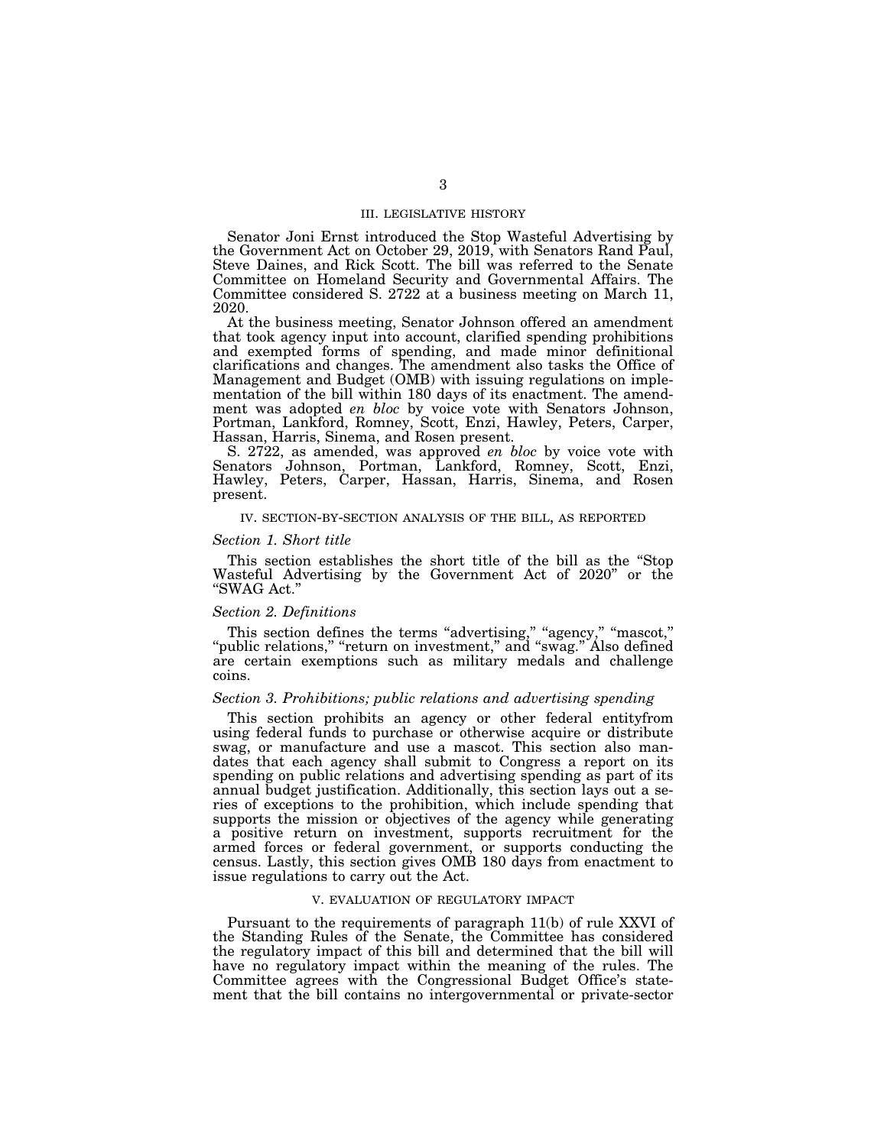#### III. LEGISLATIVE HISTORY

Senator Joni Ernst introduced the Stop Wasteful Advertising by the Government Act on October 29, 2019, with Senators Rand Paul, Steve Daines, and Rick Scott. The bill was referred to the Senate Committee on Homeland Security and Governmental Affairs. The Committee considered S. 2722 at a business meeting on March 11, 2020.

At the business meeting, Senator Johnson offered an amendment that took agency input into account, clarified spending prohibitions and exempted forms of spending, and made minor definitional clarifications and changes. The amendment also tasks the Office of Management and Budget (OMB) with issuing regulations on implementation of the bill within 180 days of its enactment. The amendment was adopted *en bloc* by voice vote with Senators Johnson, Portman, Lankford, Romney, Scott, Enzi, Hawley, Peters, Carper, Hassan, Harris, Sinema, and Rosen present.

S. 2722, as amended, was approved *en bloc* by voice vote with Senators Johnson, Portman, Lankford, Romney, Scott, Enzi, Hawley, Peters, Carper, Hassan, Harris, Sinema, and Rosen present.

### IV. SECTION-BY-SECTION ANALYSIS OF THE BILL, AS REPORTED

#### *Section 1. Short title*

This section establishes the short title of the bill as the ''Stop Wasteful Advertising by the Government Act of 2020'' or the ''SWAG Act.''

### *Section 2. Definitions*

This section defines the terms "advertising," "agency," "mascot," "public relations," "return on investment," and "swag." Also defined are certain exemptions such as military medals and challenge coins.

### *Section 3. Prohibitions; public relations and advertising spending*

This section prohibits an agency or other federal entityfrom using federal funds to purchase or otherwise acquire or distribute swag, or manufacture and use a mascot. This section also mandates that each agency shall submit to Congress a report on its spending on public relations and advertising spending as part of its annual budget justification. Additionally, this section lays out a series of exceptions to the prohibition, which include spending that supports the mission or objectives of the agency while generating a positive return on investment, supports recruitment for the armed forces or federal government, or supports conducting the census. Lastly, this section gives OMB 180 days from enactment to issue regulations to carry out the Act.

### V. EVALUATION OF REGULATORY IMPACT

Pursuant to the requirements of paragraph 11(b) of rule XXVI of the Standing Rules of the Senate, the Committee has considered the regulatory impact of this bill and determined that the bill will have no regulatory impact within the meaning of the rules. The Committee agrees with the Congressional Budget Office's statement that the bill contains no intergovernmental or private-sector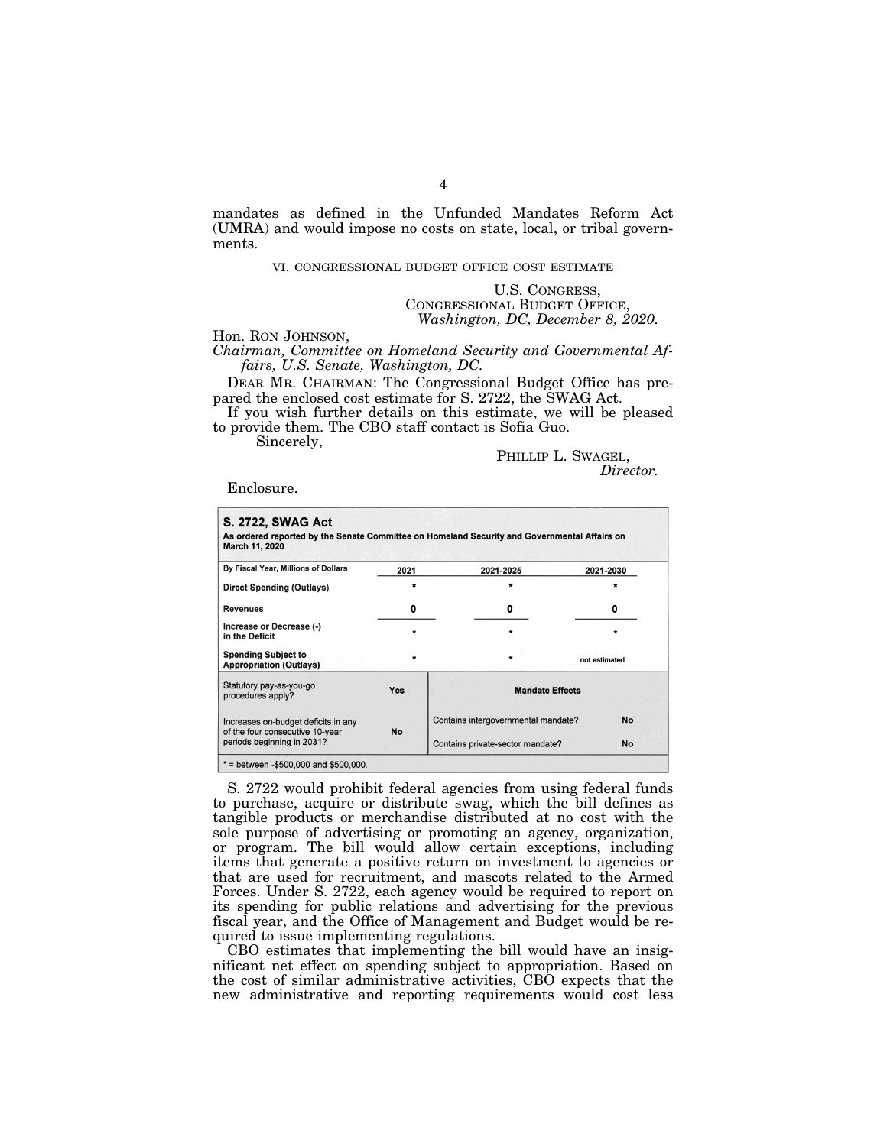mandates as defined in the Unfunded Mandates Reform Act (UMRA) and would impose no costs on state, local, or tribal governments.

## VI. CONGRESSIONAL BUDGET OFFICE COST ESTIMATE

U.S. CONGRESS, CONGRESSIONAL BUDGET OFFICE, *Washington, DC, December 8, 2020.* 

Hon. RON JOHNSON,

*Chairman, Committee on Homeland Security and Governmental Affairs, U.S. Senate, Washington, DC.* 

DEAR MR. CHAIRMAN: The Congressional Budget Office has prepared the enclosed cost estimate for S. 2722, the SWAG Act.

If you wish further details on this estimate, we will be pleased to provide them. The CBO staff contact is Sofia Guo.

Sincerely,

PHILLIP L. SWAGEL,<br>*Director.* 

Enclosure.

| By Fiscal Year, Millions of Dollars                                    | 2021      | 2021-2025                                        | 2021-2030     |
|------------------------------------------------------------------------|-----------|--------------------------------------------------|---------------|
| Direct Spending (Outlays)                                              | $\star$   | $\star$                                          |               |
| <b>Revenues</b>                                                        | 0         | 0                                                | 0             |
| Increase or Decrease (-)<br>in the Deficit                             | $\star$   | $\star$                                          | $\ast$        |
| <b>Spending Subject to</b><br><b>Appropriation (Outlays)</b>           |           |                                                  | not estimated |
| Statutory pay-as-you-go<br>procedures apply?                           | Yes       | <b>Mandate Effects</b>                           |               |
| Increases on-budget deficits in any<br>of the four consecutive 10-year | <b>No</b> | Contains intergovernmental mandate?<br><b>No</b> |               |
| periods beginning in 2031?                                             |           | Contains private-sector mandate?                 | <b>No</b>     |

S. 2722 would prohibit federal agencies from using federal funds to purchase, acquire or distribute swag, which the bill defines as tangible products or merchandise distributed at no cost with the sole purpose of advertising or promoting an agency, organization, or program. The bill would allow certain exceptions, including items that generate a positive return on investment to agencies or that are used for recruitment, and mascots related to the Armed Forces. Under S. 2722, each agency would be required to report on its spending for public relations and advertising for the previous fiscal year, and the Office of Management and Budget would be required to issue implementing regulations.

CBO estimates that implementing the bill would have an insignificant net effect on spending subject to appropriation. Based on the cost of similar administrative activities, CBO expects that the new administrative and reporting requirements would cost less